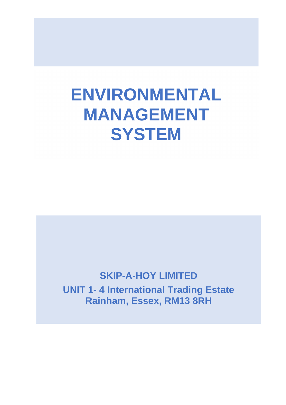# **ENVIRONMENTAL MANAGEMENT SYSTEM**

## **SKIP-A-HOY LIMITED UNIT 1- 4 International Trading Estate**

**Rainham, Essex, RM13 8RH**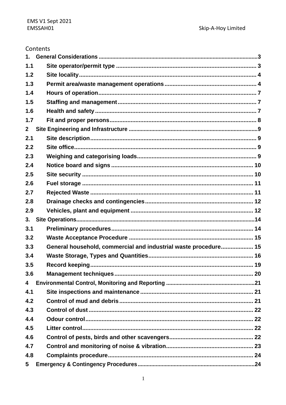## Contents

| 1.             |                                                                 |
|----------------|-----------------------------------------------------------------|
| 1.1            |                                                                 |
| 1.2            |                                                                 |
| 1.3            |                                                                 |
| 1.4            |                                                                 |
| 1.5            |                                                                 |
| 1.6            |                                                                 |
| 1.7            |                                                                 |
| 2 <sup>1</sup> |                                                                 |
| 2.1            |                                                                 |
| 2.2            |                                                                 |
| 2.3            |                                                                 |
| 2.4            |                                                                 |
| 2.5            |                                                                 |
| 2.6            |                                                                 |
| 2.7            |                                                                 |
| 2.8            |                                                                 |
| 2.9            |                                                                 |
| 3.             |                                                                 |
| 3.1            |                                                                 |
| 3.2            |                                                                 |
| 3.3            | General household, commercial and industrial waste procedure 15 |
| 3.4            |                                                                 |
| 3.5            |                                                                 |
| 3.6            |                                                                 |
| 4              |                                                                 |
| 4.1            |                                                                 |
| 4.2            |                                                                 |
| 4.3            |                                                                 |
| 4.4            |                                                                 |
| 4.5            |                                                                 |
| 4.6            |                                                                 |
| 4.7            |                                                                 |
| 4.8            |                                                                 |
| 5              |                                                                 |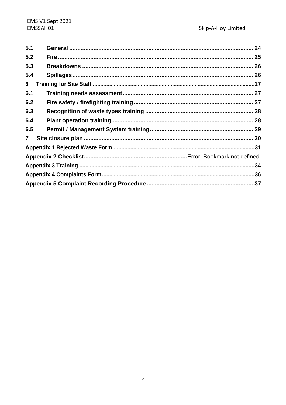| 5.1            |  |  |  |  |  |  |
|----------------|--|--|--|--|--|--|
| 5.2            |  |  |  |  |  |  |
| 5.3            |  |  |  |  |  |  |
| 5.4            |  |  |  |  |  |  |
| 6              |  |  |  |  |  |  |
| 6.1            |  |  |  |  |  |  |
| 6.2            |  |  |  |  |  |  |
| 6.3            |  |  |  |  |  |  |
| 6.4            |  |  |  |  |  |  |
| 6.5            |  |  |  |  |  |  |
| $\overline{7}$ |  |  |  |  |  |  |
|                |  |  |  |  |  |  |
|                |  |  |  |  |  |  |
|                |  |  |  |  |  |  |
|                |  |  |  |  |  |  |
|                |  |  |  |  |  |  |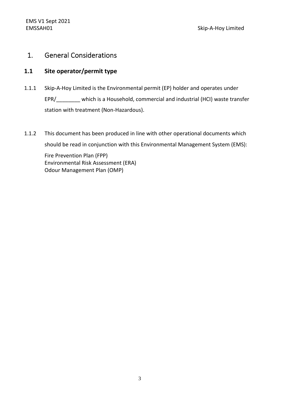## 1. General Considerations

#### **1.1 Site operator/permit type**

- 1.1.1 Skip-A-Hoy Limited is the Environmental permit (EP) holder and operates under EPR/\_\_\_\_\_\_\_\_ which is a Household, commercial and industrial (HCI) waste transfer station with treatment (Non-Hazardous).
- 1.1.2 This document has been produced in line with other operational documents which should be read in conjunction with this Environmental Management System (EMS):

Fire Prevention Plan (FPP) Environmental Risk Assessment (ERA) Odour Management Plan (OMP)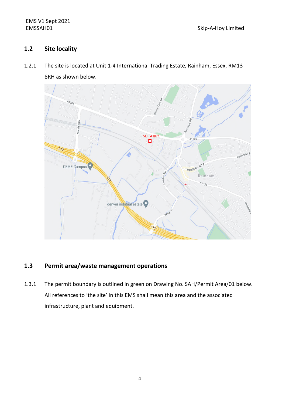EMS V1 Sept 2021

#### **1.2 Site locality**

1.2.1 The site is located at Unit 1-4 International Trading Estate, Rainham, Essex, RM13 8RH as shown below.



#### **1.3 Permit area/waste management operations**

1.3.1 The permit boundary is outlined in green on Drawing No. SAH/Permit Area/01 below. All references to 'the site' in this EMS shall mean this area and the associated infrastructure, plant and equipment.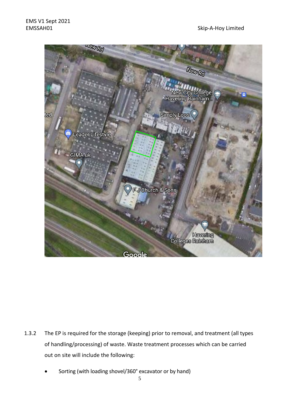

- 1.3.2 The EP is required for the storage (keeping) prior to removal, and treatment (all types of handling/processing) of waste. Waste treatment processes which can be carried out on site will include the following:
	- Sorting (with loading shovel/360° excavator or by hand)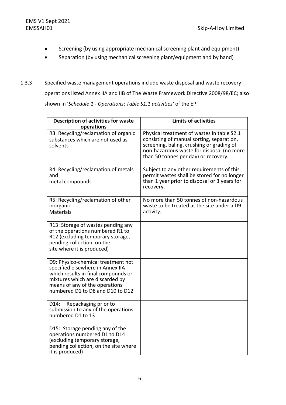- Screening (by using appropriate mechanical screening plant and equipment)
- Separation (by using mechanical screening plant/equipment and by hand)
- 1.3.3 Specified waste management operations include waste disposal and waste recovery operations listed Annex IIA and IIB of The Waste Framework Directive 2008/98/EC; also shown in '*Schedule 1 - Operations*; *Table S1.1 activities'* of the EP.

| <b>Description of activities for waste</b><br>operations                                                                                                                                                               | <b>Limits of activities</b>                                                                                                                                                                                               |
|------------------------------------------------------------------------------------------------------------------------------------------------------------------------------------------------------------------------|---------------------------------------------------------------------------------------------------------------------------------------------------------------------------------------------------------------------------|
| R3: Recycling/reclamation of organic<br>substances which are not used as<br>solvents                                                                                                                                   | Physical treatment of wastes in table S2.1<br>consisting of manual sorting, separation,<br>screening, baling, crushing or grading of<br>non-hazardous waste for disposal (no more<br>than 50 tonnes per day) or recovery. |
| R4: Recycling/reclamation of metals<br>and<br>metal compounds                                                                                                                                                          | Subject to any other requirements of this<br>permit wastes shall be stored for no longer<br>than 1 year prior to disposal or 3 years for<br>recovery.                                                                     |
| R5: Recycling/reclamation of other<br>inorganic<br><b>Materials</b>                                                                                                                                                    | No more than 50 tonnes of non-hazardous<br>waste to be treated at the site under a D9<br>activity.                                                                                                                        |
| R13: Storage of wastes pending any<br>of the operations numbered R1 to<br>R12 (excluding temporary storage,<br>pending collection, on the<br>site where it is produced)                                                |                                                                                                                                                                                                                           |
| D9: Physico-chemical treatment not<br>specified elsewhere in Annex IIA<br>which results in final compounds or<br>mixtures which are discarded by<br>means of any of the operations<br>numbered D1 to D8 and D10 to D12 |                                                                                                                                                                                                                           |
| D14:<br>Repackaging prior to<br>submission to any of the operations<br>numbered D1 to 13                                                                                                                               |                                                                                                                                                                                                                           |
| D15: Storage pending any of the<br>operations numbered D1 to D14<br>(excluding temporary storage,<br>pending collection, on the site where<br>it is produced)                                                          |                                                                                                                                                                                                                           |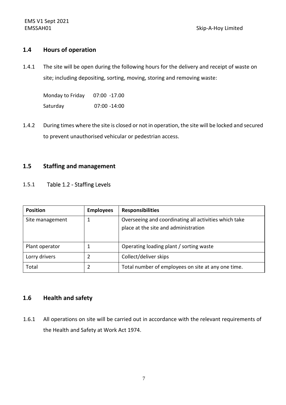EMS V1 Sept 2021

#### **1.4 Hours of operation**

1.4.1 The site will be open during the following hours for the delivery and receipt of waste on site; including depositing, sorting, moving, storing and removing waste:

Monday to Friday 07:00 -17.00 Saturday 07:00 -14:00

1.4.2 During times where the site is closed or not in operation, the site will be locked and secured to prevent unauthorised vehicular or pedestrian access.

#### **1.5 Staffing and management**

#### 1.5.1 Table 1.2 - Staffing Levels

| <b>Position</b> | <b>Employees</b> | <b>Responsibilities</b>                                                                       |
|-----------------|------------------|-----------------------------------------------------------------------------------------------|
| Site management |                  | Overseeing and coordinating all activities which take<br>place at the site and administration |
| Plant operator  |                  | Operating loading plant / sorting waste                                                       |
| Lorry drivers   | 2                | Collect/deliver skips                                                                         |
| Total           |                  | Total number of employees on site at any one time.                                            |

#### **1.6 Health and safety**

1.6.1 All operations on site will be carried out in accordance with the relevant requirements of the Health and Safety at Work Act 1974.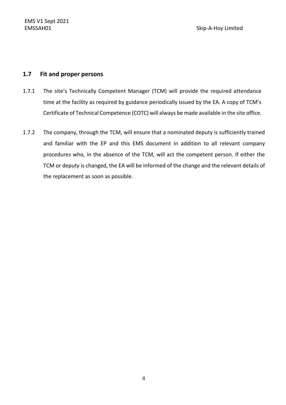#### **1.7 Fit and proper persons**

- 1.7.1 The site's Technically Competent Manager (TCM) will provide the required attendance time at the facility as required by guidance periodically issued by the EA. A copy of TCM's Certificate of Technical Competence (COTC) will always be made available in the site office.
- 1.7.2 The company, through the TCM, will ensure that a nominated deputy is sufficiently trained and familiar with the EP and this EMS document in addition to all relevant company procedures who, in the absence of the TCM, will act the competent person. If either the TCM or deputy is changed, the EA will be informed of the change and the relevant details of the replacement as soon as possible.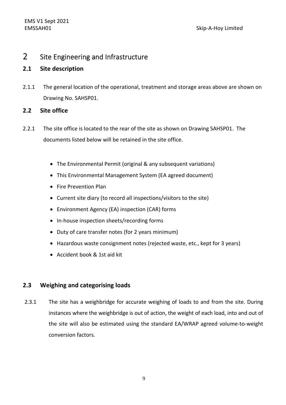## 2 Site Engineering and Infrastructure

#### **2.1 Site description**

2.1.1 The general location of the operational, treatment and storage areas above are shown on Drawing No. SAHSP01.

#### **2.2 Site office**

- 2.2.1 The site office is located to the rear of the site as shown on Drawing SAHSP01. The documents listed below will be retained in the site office.
	- The Environmental Permit (original & any subsequent variations)
	- This Environmental Management System (EA agreed document)
	- Fire Prevention Plan
	- Current site diary (to record all inspections/visitors to the site)
	- Environment Agency (EA) inspection (CAR) forms
	- In-house inspection sheets/recording forms
	- Duty of care transfer notes (for 2 years minimum)
	- Hazardous waste consignment notes (rejected waste, etc., kept for 3 years)
	- Accident book & 1st aid kit

#### **2.3 Weighing and categorising loads**

2.3.1 The site has a weighbridge for accurate weighing of loads to and from the site. During instances where the weighbridge is out of action, the weight of each load, into and out of the site will also be estimated using the standard EA/WRAP agreed volume-to-weight conversion factors.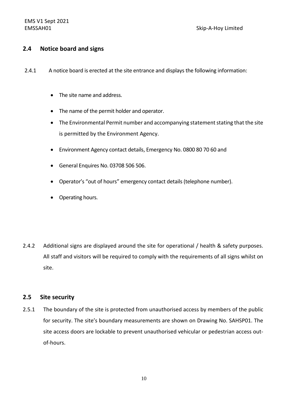EMS V1 Sept 2021

#### **2.4 Notice board and signs**

- 2.4.1 A notice board is erected at the site entrance and displays the following information:
	- The site name and address.
	- The name of the permit holder and operator.
	- The Environmental Permit number and accompanying statement stating that the site is permitted by the Environment Agency.
	- Environment Agency contact details, Emergency No. 0800 80 70 60 and
	- General Enquires No. 03708 506 506.
	- Operator's "out of hours" emergency contact details (telephone number).
	- Operating hours.

2.4.2 Additional signs are displayed around the site for operational / health & safety purposes. All staff and visitors will be required to comply with the requirements of all signs whilst on site.

#### **2.5 Site security**

2.5.1 The boundary of the site is protected from unauthorised access by members of the public for security. The site's boundary measurements are shown on Drawing No. SAHSP01. The site access doors are lockable to prevent unauthorised vehicular or pedestrian access outof-hours.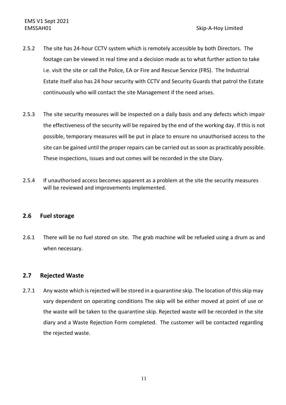- 2.5.2 The site has 24-hour CCTV system which is remotely accessible by both Directors. The footage can be viewed in real time and a decision made as to what further action to take i.e. visit the site or call the Police, EA or Fire and Rescue Service (FRS). The Industrial Estate itself also has 24 hour security with CCTV and Security Guards that patrol the Estate continuously who will contact the site Management if the need arises.
- 2.5.3 The site security measures will be inspected on a daily basis and any defects which impair the effectiveness of the security will be repaired by the end of the working day. If this is not possible, temporary measures will be put in place to ensure no unauthorised access to the site can be gained until the proper repairs can be carried out as soon as practicably possible. These inspections, issues and out comes will be recorded in the site Diary.
- 2.5.4 If unauthorised access becomes apparent as a problem at the site the security measures will be reviewed and improvements implemented.

#### **2.6 Fuel storage**

2.6.1 There will be no fuel stored on site. The grab machine will be refueled using a drum as and when necessary.

#### **2.7 Rejected Waste**

2.7.1 Any waste which is rejected will be stored in a quarantine skip. The location of this skip may vary dependent on operating conditions The skip will be either moved at point of use or the waste will be taken to the quarantine skip. Rejected waste will be recorded in the site diary and a Waste Rejection Form completed. The customer will be contacted regarding the rejected waste.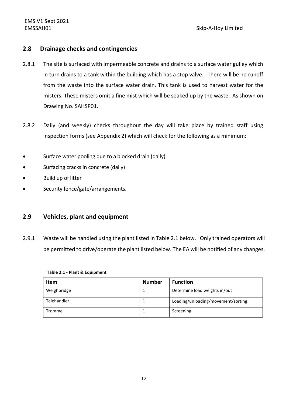#### **2.8 Drainage checks and contingencies**

- 2.8.1 The site is surfaced with impermeable concrete and drains to a surface water gulley which in turn drains to a tank within the building which has a stop valve. There will be no runoff from the waste into the surface water drain. This tank is used to harvest water for the misters. These misters omit a fine mist which will be soaked up by the waste. As shown on Drawing No. SAHSP01.
- 2.8.2 Daily (and weekly) checks throughout the day will take place by trained staff using inspection forms (see Appendix 2) which will check for the following as a minimum:
- Surface water pooling due to a blocked drain (daily)
- Surfacing cracks in concrete (daily)
- Build up of litter
- Security fence/gate/arrangements.

#### **2.9 Vehicles, plant and equipment**

2.9.1 Waste will be handled using the plant listed in Table 2.1 below. Only trained operators will be permitted to drive/operate the plant listed below. The EA will be notified of any changes.

| Item               | <b>Number</b> | <b>Function</b>                    |
|--------------------|---------------|------------------------------------|
| Weighbridge        |               | Determine load weights in/out      |
| <b>Telehandler</b> |               | Loading/unloading/movement/sorting |
| Trommel            |               | Screening                          |

#### **Table 2.1 - Plant & Equipment**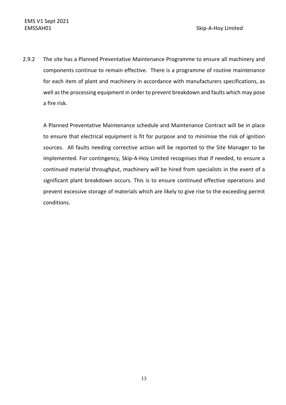2.9.2 The site has a Planned Preventative Maintenance Programme to ensure all machinery and components continue to remain effective. There is a programme of routine maintenance for each item of plant and machinery in accordance with manufacturers specifications, as well as the processing equipment in order to prevent breakdown and faults which may pose a fire risk.

A Planned Preventative Maintenance schedule and Maintenance Contract will be in place to ensure that electrical equipment is fit for purpose and to minimise the risk of ignition sources. All faults needing corrective action will be reported to the Site Manager to be implemented. For contingency, Skip-A-Hoy Limited recognises that if needed, to ensure a continued material throughput, machinery will be hired from specialists in the event of a significant plant breakdown occurs. This is to ensure continued effective operations and prevent excessive storage of materials which are likely to give rise to the exceeding permit conditions.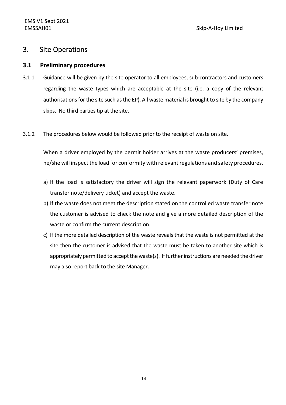#### 3. Site Operations

#### **3.1 Preliminary procedures**

- 3.1.1 Guidance will be given by the site operator to all employees, sub-contractors and customers regarding the waste types which are acceptable at the site (i.e. a copy of the relevant authorisations for the site such as the EP). All waste material is brought to site by the company skips. No third parties tip at the site.
- 3.1.2 The procedures below would be followed prior to the receipt of waste on site.

When a driver employed by the permit holder arrives at the waste producers' premises, he/she will inspect the load for conformity with relevant regulations and safety procedures.

- a) If the load is satisfactory the driver will sign the relevant paperwork (Duty of Care transfer note/delivery ticket) and accept the waste.
- b) If the waste does not meet the description stated on the controlled waste transfer note the customer is advised to check the note and give a more detailed description of the waste or confirm the current description.
- c) If the more detailed description of the waste reveals that the waste is not permitted at the site then the customer is advised that the waste must be taken to another site which is appropriately permitted to accept the waste(s). If further instructions are needed the driver may also report back to the site Manager.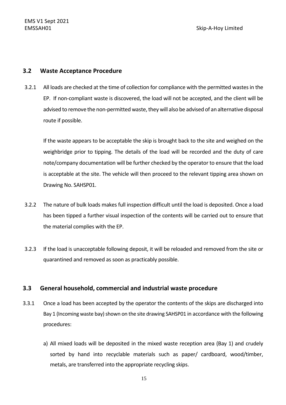#### **3.2 Waste Acceptance Procedure**

3.2.1 All loads are checked at the time of collection for compliance with the permitted wastes in the EP. If non-compliant waste is discovered, the load will not be accepted, and the client will be advised to remove the non-permitted waste, they will also be advised of an alternative disposal route if possible.

If the waste appears to be acceptable the skip is brought back to the site and weighed on the weighbridge prior to tipping. The details of the load will be recorded and the duty of care note/company documentation will be further checked by the operator to ensure that the load is acceptable at the site. The vehicle will then proceed to the relevant tipping area shown on Drawing No. SAHSP01.

- 3.2.2 The nature of bulk loads makes full inspection difficult until the load is deposited. Once a load has been tipped a further visual inspection of the contents will be carried out to ensure that the material complies with the EP.
- 3.2.3 If the load is unacceptable following deposit, it will be reloaded and removed from the site or quarantined and removed as soon as practicably possible.

#### **3.3 General household, commercial and industrial waste procedure**

- 3.3.1 Once a load has been accepted by the operator the contents of the skips are discharged into Bay 1 (Incoming waste bay) shown on the site drawing SAHSP01 in accordance with the following procedures:
	- a) All mixed loads will be deposited in the mixed waste reception area (Bay 1) and crudely sorted by hand into recyclable materials such as paper/ cardboard, wood/timber, metals, are transferred into the appropriate recycling skips.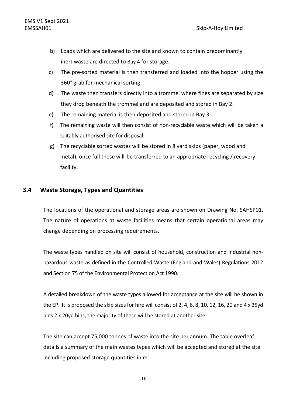- b) Loads which are delivered to the site and known to contain predominantly inert waste are directed to Bay 4 for storage.
- c) The pre-sorted material is then transferred and loaded into the hopper using the 360° grab for mechanical sorting.
- d) The waste then transfers directly into a trommel where fines are separated by size they drop beneath the trommel and are deposited and stored in Bay 2.
- e) The remaining material is then deposited and stored in Bay 3.
- f) The remaining waste will then consist of non-recyclable waste which will be taken a suitably authorised site for disposal.
- g) The recyclable sorted wastes will be stored in 8 yard skips (paper, wood and metal), once full these will be transferred to an appropriate recycling / recovery facility.

#### **3.4 Waste Storage, Types and Quantities**

The locations of the operational and storage areas are shown on Drawing No. SAHSP01. The nature of operations at waste facilities means that certain operational areas may change depending on processing requirements.

The waste types handled on site will consist of household, construction and industrial nonhazardous waste as defined in the Controlled Waste (England and Wales) Regulations 2012 and Section 75 of the Environmental Protection Act 1990.

A detailed breakdown of the waste types allowed for acceptance at the site will be shown in the EP. It is proposed the skip sizes for hire will consist of 2, 4, 6, 8, 10, 12, 16, 20 and 4 x 35yd bins 2 x 20yd bins, the majority of these will be stored at another site.

The site can accept 75,000 tonnes of waste into the site per annum. The table overleaf details a summary of the main wastes types which will be accepted and stored at the site including proposed storage quantities in  $m^3$ .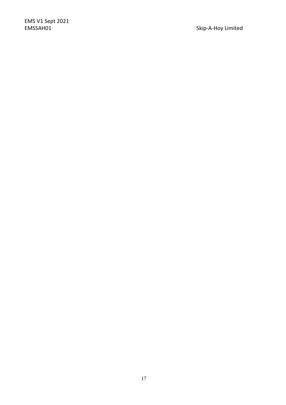EMS V1 Sept 2021

17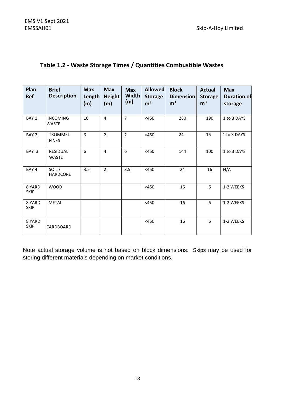| Plan<br><b>Ref</b>    | <b>Brief</b><br><b>Description</b> | <b>Max</b><br>Length<br>(m) | <b>Max</b><br><b>Height</b><br>(m) | <b>Max</b><br>Width<br>(m) | <b>Allowed</b><br><b>Storage</b><br>m <sup>3</sup> | <b>Block</b><br>Dimension<br>m <sup>3</sup> | <b>Actual</b><br><b>Storage</b><br>m <sup>3</sup> | <b>Max</b><br><b>Duration of</b><br>storage |
|-----------------------|------------------------------------|-----------------------------|------------------------------------|----------------------------|----------------------------------------------------|---------------------------------------------|---------------------------------------------------|---------------------------------------------|
| BAY <sub>1</sub>      | <b>INCOMING</b><br><b>WASTE</b>    | 10                          | $\overline{4}$                     | $\overline{7}$             | $<$ 450                                            | 280                                         | 190                                               | 1 to 3 DAYS                                 |
| BAY <sub>2</sub>      | <b>TROMMEL</b><br><b>FINES</b>     | 6                           | $\overline{2}$                     | $\overline{2}$             | $<$ 450                                            | 24                                          | 16                                                | 1 to 3 DAYS                                 |
| BAY 3                 | <b>RESIDUAL</b><br><b>WASTE</b>    | 6                           | $\overline{4}$                     | 6                          | $<$ 450                                            | 144                                         | 100                                               | 1 to 3 DAYS                                 |
| BAY <sub>4</sub>      | SOIL/<br><b>HARDCORE</b>           | 3.5                         | $\overline{2}$                     | 3.5                        | $<$ 450                                            | 24                                          | 16                                                | N/A                                         |
| 8 YARD<br><b>SKIP</b> | <b>WOOD</b>                        |                             |                                    |                            | $<$ 450                                            | 16                                          | 6                                                 | 1-2 WEEKS                                   |
| 8 YARD<br><b>SKIP</b> | <b>METAL</b>                       |                             |                                    |                            | $<$ 450                                            | 16                                          | 6                                                 | 1-2 WEEKS                                   |
| 8 YARD<br><b>SKIP</b> | <b>CARDBOARD</b>                   |                             |                                    |                            | $<$ 450                                            | 16                                          | 6                                                 | 1-2 WEEKS                                   |

#### **Table 1.2 - Waste Storage Times / Quantities Combustible Wastes**

Note actual storage volume is not based on block dimensions. Skips may be used for storing different materials depending on market conditions.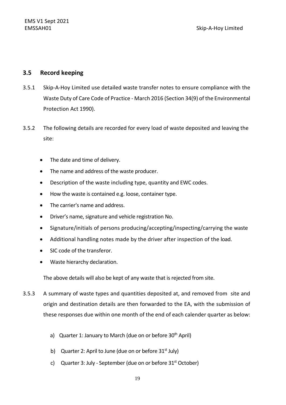#### **3.5 Record keeping**

- 3.5.1 Skip-A-Hoy Limited use detailed waste transfer notes to ensure compliance with the Waste Duty of Care Code of Practice - March 2016 (Section 34(9) of the Environmental Protection Act 1990).
- 3.5.2 The following details are recorded for every load of waste deposited and leaving the site:
	- The date and time of delivery.
	- The name and address of the waste producer.
	- Description of the waste including type, quantity and EWC codes.
	- How the waste is contained e.g. loose, container type.
	- The carrier's name and address.
	- Driver's name, signature and vehicle registration No.
	- Signature/initials of persons producing/accepting/inspecting/carrying the waste
	- Additional handling notes made by the driver after inspection of the load.
	- SIC code of the transferor.
	- Waste hierarchy declaration.

The above details will also be kept of any waste that is rejected from site.

- 3.5.3 A summary of waste types and quantities deposited at, and removed from site and origin and destination details are then forwarded to the EA, with the submission of these responses due within one month of the end of each calender quarter as below:
	- a) Quarter 1: January to March (due on or before  $30<sup>th</sup>$  April)
	- b) Quarter 2: April to June (due on or before  $31<sup>st</sup>$  July)
	- c) Quarter 3: July September (due on or before  $31<sup>st</sup>$  October)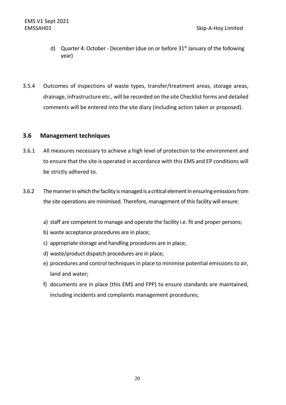- d) Quarter 4: October December (due on or before  $31<sup>st</sup>$  January of the following year)
- 3.5.4 Outcomes of inspections of waste types, transfer/treatment areas, storage areas, drainage, infrastructure etc., will be recorded on the site Checklist forms and detailed comments will be entered into the site diary (including action taken or proposed).

#### **3.6 Management techniques**

- 3.6.1 All measures necessary to achieve a high level of protection to the environment and to ensure that the site is operated in accordance with this EMS and EP conditions will be strictly adhered to.
- 3.6.2 The manner in which the facility is managed is a critical element in ensuring emissions from the site operations are minimised. Therefore, management of this facility will ensure:
	- a) staff are competent to manage and operate the facility i.e. fit and proper persons;
	- b) waste acceptance procedures are in place;
	- c) appropriate storage and handling procedures are in place;
	- d) waste/product dispatch procedures are in place;
	- e) procedures and control techniques in place to minimise potential emissions to air, land and water;
	- f) documents are in place (this EMS and FPP) to ensure standards are maintained, including incidents and complaints management procedures;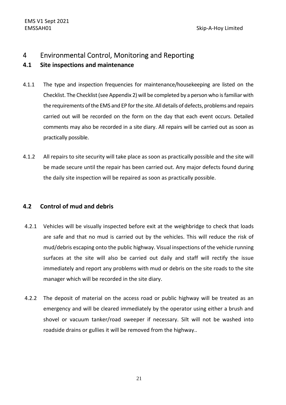## 4 Environmental Control, Monitoring and Reporting

#### **4.1 Site inspections and maintenance**

- 4.1.1 The type and inspection frequencies for maintenance/housekeeping are listed on the Checklist. The Checklist (see Appendix 2) will be completed by a person who is familiar with the requirements of the EMS and EP for the site. All details of defects, problems and repairs carried out will be recorded on the form on the day that each event occurs. Detailed comments may also be recorded in a site diary. All repairs will be carried out as soon as practically possible.
- 4.1.2 All repairs to site security will take place as soon as practically possible and the site will be made secure until the repair has been carried out. Any major defects found during the daily site inspection will be repaired as soon as practically possible.

#### **4.2 Control of mud and debris**

- 4.2.1 Vehicles will be visually inspected before exit at the weighbridge to check that loads are safe and that no mud is carried out by the vehicles. This will reduce the risk of mud/debris escaping onto the public highway. Visual inspections of the vehicle running surfaces at the site will also be carried out daily and staff will rectify the issue immediately and report any problems with mud or debris on the site roads to the site manager which will be recorded in the site diary.
- 4.2.2 The deposit of material on the access road or public highway will be treated as an emergency and will be cleared immediately by the operator using either a brush and shovel or vacuum tanker/road sweeper if necessary. Silt will not be washed into roadside drains or gullies it will be removed from the highway..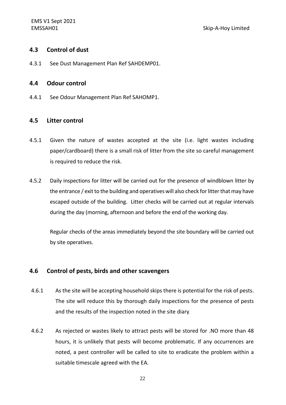#### **4.3 Control of dust**

4.3.1 See Dust Management Plan Ref SAHDEMP01.

#### **4.4 Odour control**

4.4.1 See Odour Management Plan Ref SAHOMP1.

#### **4.5 Litter control**

- 4.5.1 Given the nature of wastes accepted at the site (i.e. light wastes including paper/cardboard) there is a small risk of litter from the site so careful management is required to reduce the risk.
- 4.5.2 Daily inspections for litter will be carried out for the presence of windblown litter by the entrance / exit to the building and operatives will also check for litter that may have escaped outside of the building. Litter checks will be carried out at regular intervals during the day (morning, afternoon and before the end of the working day.

Regular checks of the areas immediately beyond the site boundary will be carried out by site operatives.

#### **4.6 Control of pests, birds and other scavengers**

- 4.6.1 As the site will be accepting household skips there is potential for the risk of pests. The site will reduce this by thorough daily inspections for the presence of pests and the results of the inspection noted in the site diary.
- 4.6.2 As rejected or wastes likely to attract pests will be stored for .NO more than 48 hours, it is unlikely that pests will become problematic. If any occurrences are noted, a pest controller will be called to site to eradicate the problem within a suitable timescale agreed with the EA.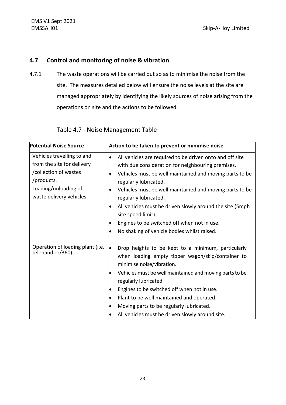#### **4.7 Control and monitoring of noise & vibration**

4.7.1 The waste operations will be carried out so as to minimise the noise from the site. The measures detailed below will ensure the noise levels at the site are managed appropriately by identifying the likely sources of noise arising from the operations on site and the actions to be followed.

Table 4.7 - Noise Management Table

| <b>Potential Noise Source</b>                                                                                                                      | Action to be taken to prevent or minimise noise                                                                                                                                                                                                                                                                                                                                                                                                                        |
|----------------------------------------------------------------------------------------------------------------------------------------------------|------------------------------------------------------------------------------------------------------------------------------------------------------------------------------------------------------------------------------------------------------------------------------------------------------------------------------------------------------------------------------------------------------------------------------------------------------------------------|
| Vehicles travelling to and<br>from the site for delivery<br>/collection of wastes<br>/products.<br>Loading/unloading of<br>waste delivery vehicles | All vehicles are required to be driven onto and off site<br>with due consideration for neighbouring premises.<br>Vehicles must be well maintained and moving parts to be<br>regularly lubricated.<br>Vehicles must be well maintained and moving parts to be<br>regularly lubricated.<br>All vehicles must be driven slowly around the site (5mph)<br>site speed limit).<br>Engines to be switched off when not in use.<br>No shaking of vehicle bodies whilst raised. |
| Operation of loading plant (i.e.<br>telehandler/360)                                                                                               | Drop heights to be kept to a minimum, particularly<br>when loading empty tipper wagon/skip/container to<br>minimise noise/vibration.<br>Vehicles must be well maintained and moving parts to be<br>regularly lubricated.<br>Engines to be switched off when not in use.<br>Plant to be well maintained and operated.<br>Moving parts to be regularly lubricated.<br>All vehicles must be driven slowly around site.                                                    |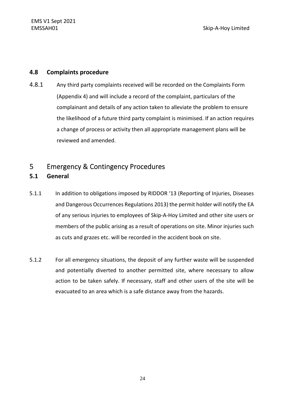#### **4.8 Complaints procedure**

4.8.1 Any third party complaints received will be recorded on the Complaints Form (Appendix 4) and will include a record of the complaint, particulars of the complainant and details of any action taken to alleviate the problem to ensure the likelihood of a future third party complaint is minimised. If an action requires a change of process or activity then all appropriate management plans will be reviewed and amended.

## 5 Emergency & Contingency Procedures

#### **5.1 General**

- 5.1.1 In addition to obligations imposed by RIDDOR '13 (Reporting of Injuries, Diseases and Dangerous Occurrences Regulations 2013) the permit holder will notify the EA of any serious injuries to employees of Skip-A-Hoy Limited and other site users or members of the public arising as a result of operations on site. Minor injuries such as cuts and grazes etc. will be recorded in the accident book on site.
- 5.1.2 For all emergency situations, the deposit of any further waste will be suspended and potentially diverted to another permitted site, where necessary to allow action to be taken safely. If necessary, staff and other users of the site will be evacuated to an area which is a safe distance away from the hazards.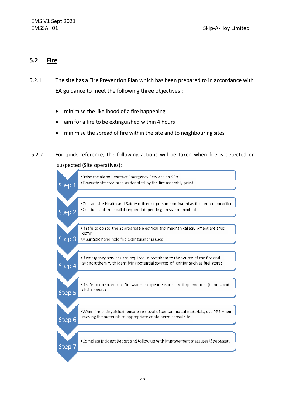#### **5.2 Fire**

- 5.2.1 The site has a Fire Prevention Plan which has been prepared to in accordance with EA guidance to meet the following three objectives :
	- minimise the likelihood of a fire happening
	- aim for a fire to be extinguished within 4 hours
	- minimise the spread of fire within the site and to neighbouring sites

## 5.2.2 For quick reference, the following actions will be taken when fire is detected or suspected (Site operatives):

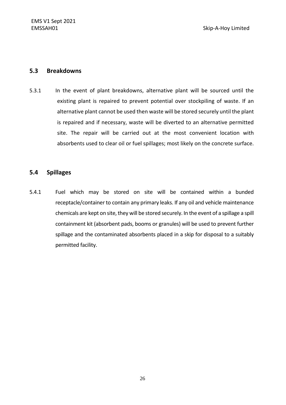#### **5.3 Breakdowns**

5.3.1 In the event of plant breakdowns, alternative plant will be sourced until the existing plant is repaired to prevent potential over stockpiling of waste. If an alternative plant cannot be used then waste will be stored securely until the plant is repaired and if necessary, waste will be diverted to an alternative permitted site. The repair will be carried out at the most convenient location with absorbents used to clear oil or fuel spillages; most likely on the concrete surface.

#### **5.4 Spillages**

5.4.1 Fuel which may be stored on site will be contained within a bunded receptacle/container to contain any primary leaks. If any oil and vehicle maintenance chemicals are kept on site, they will be stored securely. In the event of a spillage a spill containment kit (absorbent pads, booms or granules) will be used to prevent further spillage and the contaminated absorbents placed in a skip for disposal to a suitably permitted facility.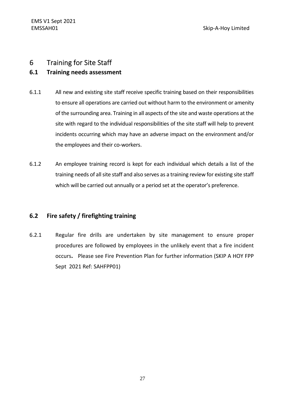#### 6 Training for Site Staff

#### **6.1 Training needs assessment**

- 6.1.1 All new and existing site staff receive specific training based on their responsibilities to ensure all operations are carried out without harm to the environment or amenity of the surrounding area. Training in all aspects of the site and waste operations at the site with regard to the individual responsibilities of the site staff will help to prevent incidents occurring which may have an adverse impact on the environment and/or the employees and their co-workers.
- 6.1.2 An employee training record is kept for each individual which details a list of the training needs of all site staff and also serves as a training review for existing site staff which will be carried out annually or a period set at the operator's preference.

#### **6.2 Fire safety / firefighting training**

6.2.1 Regular fire drills are undertaken by site management to ensure proper procedures are followed by employees in the unlikely event that a fire incident occurs**.** Please see Fire Prevention Plan for further information (SKIP A HOY FPP Sept 2021 Ref: SAHFPP01)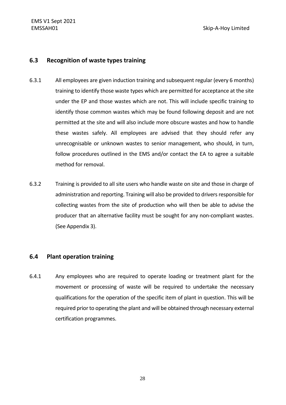#### **6.3 Recognition of waste types training**

- 6.3.1 All employees are given induction training and subsequent regular (every 6 months) training to identify those waste types which are permitted for acceptance at the site under the EP and those wastes which are not. This will include specific training to identify those common wastes which may be found following deposit and are not permitted at the site and will also include more obscure wastes and how to handle these wastes safely. All employees are advised that they should refer any unrecognisable or unknown wastes to senior management, who should, in turn, follow procedures outlined in the EMS and/or contact the EA to agree a suitable method for removal.
- 6.3.2 Training is provided to all site users who handle waste on site and those in charge of administration and reporting. Training will also be provided to drivers responsible for collecting wastes from the site of production who will then be able to advise the producer that an alternative facility must be sought for any non-compliant wastes. (See Appendix 3).

#### **6.4 Plant operation training**

6.4.1 Any employees who are required to operate loading or treatment plant for the movement or processing of waste will be required to undertake the necessary qualifications for the operation of the specific item of plant in question. This will be required prior to operating the plant and will be obtained through necessary external certification programmes.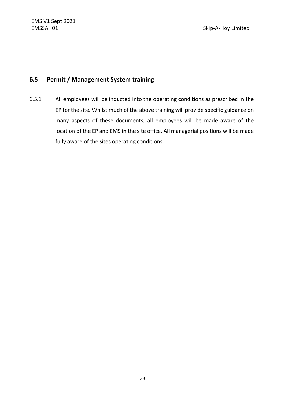#### **6.5 Permit / Management System training**

6.5.1 All employees will be inducted into the operating conditions as prescribed in the EP for the site. Whilst much of the above training will provide specific guidance on many aspects of these documents, all employees will be made aware of the location of the EP and EMS in the site office. All managerial positions will be made fully aware of the sites operating conditions.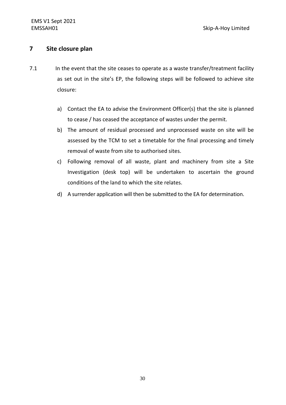#### **7 Site closure plan**

- 7.1 In the event that the site ceases to operate as a waste transfer/treatment facility as set out in the site's EP, the following steps will be followed to achieve site closure:
	- a) Contact the EA to advise the Environment Officer(s) that the site is planned to cease / has ceased the acceptance of wastes under the permit.
	- b) The amount of residual processed and unprocessed waste on site will be assessed by the TCM to set a timetable for the final processing and timely removal of waste from site to authorised sites.
	- c) Following removal of all waste, plant and machinery from site a Site Investigation (desk top) will be undertaken to ascertain the ground conditions of the land to which the site relates.
	- d) A surrender application will then be submitted to the EA for determination.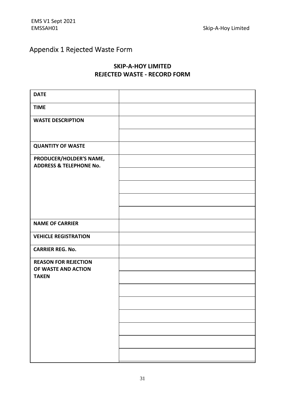## Appendix 1 Rejected Waste Form

## **SKIP-A-HOY LIMITED REJECTED WASTE - RECORD FORM**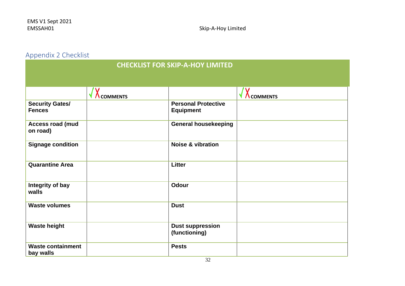## Appendix 2 Checklist

| <b>CHECKLIST FOR SKIP-A-HOY LIMITED</b> |                 |                                                |                 |  |  |  |
|-----------------------------------------|-----------------|------------------------------------------------|-----------------|--|--|--|
|                                         |                 |                                                |                 |  |  |  |
|                                         | <b>COMMENTS</b> |                                                | <b>COMMENTS</b> |  |  |  |
| <b>Security Gates/</b><br><b>Fences</b> |                 | <b>Personal Protective</b><br><b>Equipment</b> |                 |  |  |  |
| Access road (mud<br>on road)            |                 | <b>General housekeeping</b>                    |                 |  |  |  |
| <b>Signage condition</b>                |                 | <b>Noise &amp; vibration</b>                   |                 |  |  |  |
| <b>Quarantine Area</b>                  |                 | <b>Litter</b>                                  |                 |  |  |  |
| Integrity of bay<br>walls               |                 | <b>Odour</b>                                   |                 |  |  |  |
| <b>Waste volumes</b>                    |                 | <b>Dust</b>                                    |                 |  |  |  |
| <b>Waste height</b>                     |                 | <b>Dust suppression</b><br>(functioning)       |                 |  |  |  |
| <b>Waste containment</b><br>bay walls   |                 | <b>Pests</b>                                   |                 |  |  |  |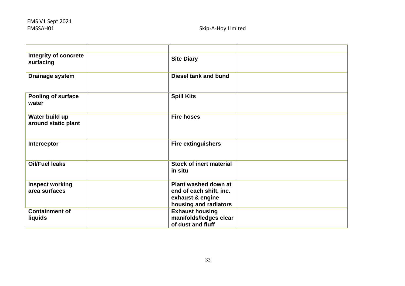EMS V1 Sept 2021<br>EMSSAH01

| <b>Integrity of concrete</b><br>surfacing | <b>Site Diary</b>                                                                            |  |
|-------------------------------------------|----------------------------------------------------------------------------------------------|--|
| Drainage system                           | <b>Diesel tank and bund</b>                                                                  |  |
| <b>Pooling of surface</b><br>water        | <b>Spill Kits</b>                                                                            |  |
| Water build up<br>around static plant     | <b>Fire hoses</b>                                                                            |  |
| Interceptor                               | <b>Fire extinguishers</b>                                                                    |  |
| <b>Oil/Fuel leaks</b>                     | <b>Stock of inert material</b><br>in situ                                                    |  |
| <b>Inspect working</b><br>area surfaces   | Plant washed down at<br>end of each shift, inc.<br>exhaust & engine<br>housing and radiators |  |
| <b>Containment of</b><br>liquids          | <b>Exhaust housing</b><br>manifolds/ledges clear<br>of dust and fluff                        |  |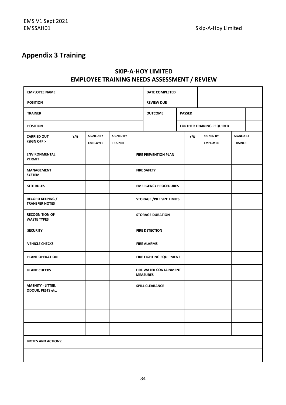## **Appendix 3 Training**

#### **SKIP-A-HOY LIMITED EMPLOYEE TRAINING NEEDS ASSESSMENT / REVIEW**

| <b>EMPLOYEE NAME</b>                             |     | <b>DATE COMPLETED</b>               |                                    |                                           |                                   |               |     |                                     |                                    |  |
|--------------------------------------------------|-----|-------------------------------------|------------------------------------|-------------------------------------------|-----------------------------------|---------------|-----|-------------------------------------|------------------------------------|--|
| <b>POSITION</b>                                  |     |                                     |                                    |                                           | <b>REVIEW DUE</b>                 |               |     |                                     |                                    |  |
| <b>TRAINER</b>                                   |     |                                     |                                    |                                           | <b>OUTCOME</b>                    | <b>PASSED</b> |     |                                     |                                    |  |
| <b>POSITION</b>                                  |     |                                     |                                    |                                           |                                   |               |     | <b>FURTHER TRAINING REQUIRED</b>    |                                    |  |
| <b>CARRIED OUT</b><br>/SIGN OFF >                | Y/N | <b>SIGNED BY</b><br><b>EMPLOYEE</b> | <b>SIGNED BY</b><br><b>TRAINER</b> |                                           |                                   |               | Y/N | <b>SIGNED BY</b><br><b>EMPLOYEE</b> | <b>SIGNED BY</b><br><b>TRAINER</b> |  |
| <b>ENVIRONMENTAL</b><br><b>PERMIT</b>            |     |                                     |                                    |                                           | <b>FIRE PREVENTION PLAN</b>       |               |     |                                     |                                    |  |
| <b>MANAGEMENT</b><br><b>SYSTEM</b>               |     |                                     |                                    |                                           | <b>FIRE SAFETY</b>                |               |     |                                     |                                    |  |
| <b>SITE RULES</b>                                |     |                                     |                                    |                                           | <b>EMERGENCY PROCEDURES</b>       |               |     |                                     |                                    |  |
| <b>RECORD KEEPING /</b><br><b>TRANSFER NOTES</b> |     |                                     |                                    |                                           | <b>STORAGE / PILE SIZE LIMITS</b> |               |     |                                     |                                    |  |
| <b>RECOGNITION OF</b><br><b>WASTE TYPES</b>      |     |                                     |                                    |                                           | <b>STORAGE DURATION</b>           |               |     |                                     |                                    |  |
| <b>SECURITY</b>                                  |     |                                     |                                    |                                           | <b>FIRE DETECTION</b>             |               |     |                                     |                                    |  |
| <b>VEHICLE CHECKS</b>                            |     |                                     |                                    |                                           | <b>FIRE ALARMS</b>                |               |     |                                     |                                    |  |
| <b>PLANT OPERATION</b>                           |     |                                     |                                    | FIRE FIGHTING EQUIPMENT                   |                                   |               |     |                                     |                                    |  |
| <b>PLANT CHECKS</b>                              |     |                                     |                                    | FIRE WATER CONTAINMENT<br><b>MEASURES</b> |                                   |               |     |                                     |                                    |  |
| <b>AMENITY - LITTER,</b><br>ODOUR, PESTS etc.    |     |                                     |                                    | SPILL CLEARANCE                           |                                   |               |     |                                     |                                    |  |
|                                                  |     |                                     |                                    |                                           |                                   |               |     |                                     |                                    |  |
|                                                  |     |                                     |                                    |                                           |                                   |               |     |                                     |                                    |  |
|                                                  |     |                                     |                                    |                                           |                                   |               |     |                                     |                                    |  |
| <b>NOTES AND ACTIONS:</b>                        |     |                                     |                                    |                                           |                                   |               |     |                                     |                                    |  |
|                                                  |     |                                     |                                    |                                           |                                   |               |     |                                     |                                    |  |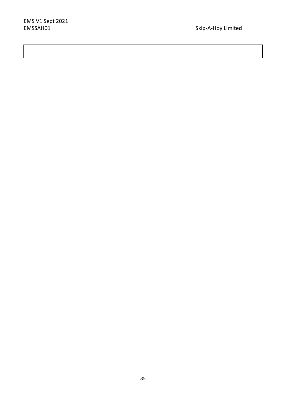35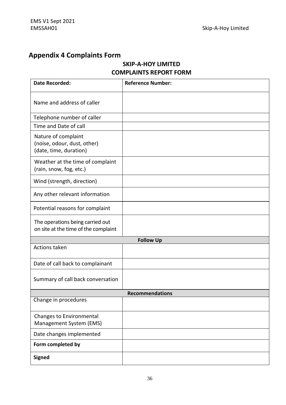## **Appendix 4 Complaints Form**

### **SKIP-A-HOY LIMITED COMPLAINTS REPORT FORM**

| <b>Date Recorded:</b>                                                        | <b>Reference Number:</b> |
|------------------------------------------------------------------------------|--------------------------|
| Name and address of caller                                                   |                          |
| Telephone number of caller                                                   |                          |
| Time and Date of call                                                        |                          |
| Nature of complaint<br>(noise, odour, dust, other)<br>(date, time, duration) |                          |
| Weather at the time of complaint<br>(rain, snow, fog, etc.)                  |                          |
| Wind (strength, direction)                                                   |                          |
| Any other relevant information                                               |                          |
| Potential reasons for complaint                                              |                          |
| The operations being carried out<br>on site at the time of the complaint     |                          |
|                                                                              | <b>Follow Up</b>         |
| Actions taken                                                                |                          |
| Date of call back to complainant                                             |                          |
| Summary of call back conversation                                            |                          |
|                                                                              | <b>Recommendations</b>   |
| Change in procedures                                                         |                          |
| Changes to Environmental<br>Management System (EMS)                          |                          |
| Date changes implemented                                                     |                          |
| Form completed by                                                            |                          |
| <b>Signed</b>                                                                |                          |